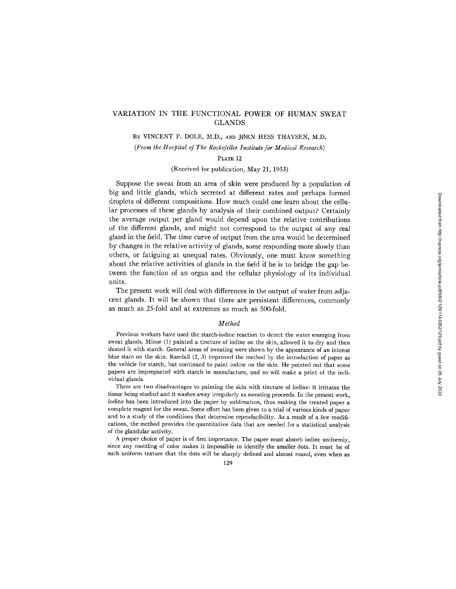# VARIATION IN THE FUNCTIONAL POWER OF HUMAN SWEAT GLANDS

BY VINCENT P. DOLE, M.D., AND JØRN HESS THAYSEN, M.D.

(From the Hospital of The Rockefeller Institute for Medical Research)

 $\mathcal{L}$  suppose the sweat from an area of skin were produced by a population of skin were produced by a population of skin were produced by a population of set of skin were produced by a population of set of set of set o big and little glands, which secreted at different rates and perhaps formed

(Received for publication, May 21, 1953)

Suppose the sweat from an area of skin were produced by a population of big and little glands, which secreted at different rates and perhaps formed droplets of different compositions. How much could one learn about the cellular processes of these glands by analysis of their combined output? Certainly the average output per gland would depend upon the relative contributions of the different glands, and might not correspond to the output of any real gland in the field. The time curve of output from the area would be determined by changes in the relative activity of glands, some responding more slowly than others, or fatiguing at unequal rates. Obviously, one must know something about the relative activities of glands in the field if he is to bridge the gap between the function of an ergan and the collular physiology of its individual  $\sum_{i=1}^{5}$ 

The present work will deal with differences in the output of water from adjacent glands. It will be shown that there are persistent differences, commonly as much as 25-fold and at extremes as much as 500-fold.

#### $\mathcal{M}$  are as of sweating were shown by the appearance of an intensee shown by the appearance of an intensee shown by the animal starts of an intensee shown by the appearance of an intensee shown by the animal starts of  $\mathbf{r}$  is statistically the method by the method by the method by the method by the method by the introduction of paper as  $\mathbf{r}$

Previous workers have used the starch-iodine reaction to detect the water emerging from sweat glands. Minor (1) painted a tincture of iodine on the skin, allowed it to dry and then dusted it with starch. General areas of sweating were shown by the appearance of an intense blue stain on the skin. Randall  $(2, 3)$  improved the method by the introduction of paper as the vehicle for starch, but continued to paint iodine on the skin. He pointed out that some papers are impregnated with starch in manufacture, and so will make a print of the individual glands.

There are two disadvantages to painting the skin with tincture of iodine: it irritates the tissue being studied and it washes away irregularly as sweating proceeds. In the present work, iodine has been introduced into the paper by sublimation, thus making the treated paper a complete reagent for the sweat. Some effort has been given to a trial of various kinds of paper and to a study of the conditions that determine reproducibility. As a result of a few modifications, the method provides the quantitative data that are needed for a statistical analysis of the glandular activity.

A proper choice of paper is of first importance. The paper must absorb iodine uniformly, since any mottling of color makes it impossible to identify the smaller dots. It must be of such uniform texture that the dots will be sharply defined and almost round, even when as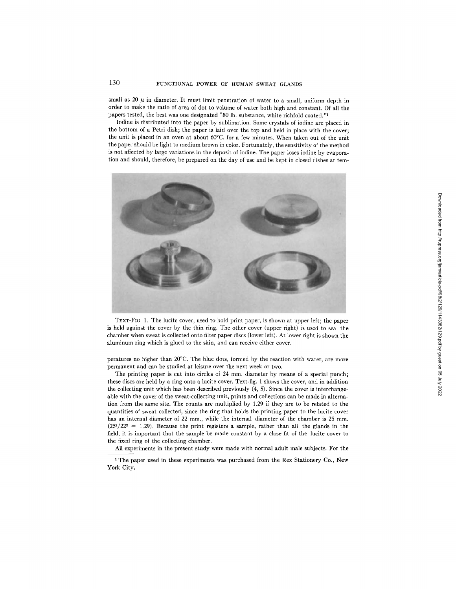small as 20  $\mu$  in diameter. It must limit penetration of water to a small, uniform depth in order to make the ratio of area of dot to volume of water both high and constant. Of all the papers tested, the best was one designated "80 lb. substance, white richfold coated."<sup>1</sup>

Iodine is distributed into the paper by sublimation. Some crystals of iodine are placed in the bottom of a Petri dish; the paper is laid over the top and held in place with the cover; the unit is placed in an oven at about 60°C. for a few minutes. When taken out of the unit the paper should be light to medium brown in color. Fortunately, the sensitivity of the method is not affected by large variations in the deposit of iodine. The paper loses iodine by evaporation and should, therefore, be prepared on the day of use and be kept in closed dishes at tern-



TEXT-FIG. 1. The lucite cover, used to hold print paper, is shown at upper left; the paper is held against the cover by the thin ring. The other cover (upper right) is used to seal the chamber when sweat is collected onto filter paper discs (lower left). At lower right is shown the aluminum ring which is glued to the skin, and can receive either cover.

peratures no higher than 20°C. The blue dots, formed by the reaction with water, are more permanent and can be studied at leisure over the next week or two.

The printing paper is cut into circles of 24 mm. diameter by means of a special punch; these discs are held by a ring onto a lucite cover. Text-fig. 1 shows the cover, and in addition the collecting unit which has been described previously (4, 5). Since the cover is interchangeable with the cover of the sweat-collecting unit, prints and collections can be made in alternation from the same site. The counts are multiplied by 1.29 if they are to be related to the quantities of sweat collected, since the ring that holds the printing paper to the lucite cover has an internal diameter of 22 mm., while the internal diameter of the chamber is 25 mm.  $(25<sup>2</sup>/22<sup>2</sup>) = 1.29$ . Because the print registers a sample, rather than all the glands in the field, it is important that the sample be made constant by a close fit of the lucite cover to the fixed ring of the collecting chamber.

All experiments in the present study were made with normal adult male subjects. For the

<sup>&</sup>lt;sup>1</sup> The paper used in these experiments was purchased from the Rex Stationery Co., New York City.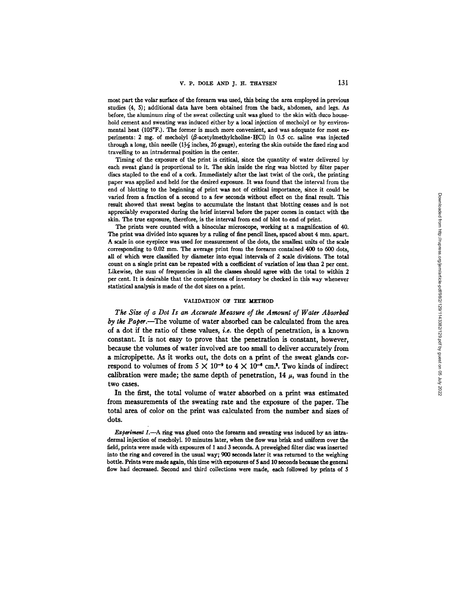most part the volar surface of the forearm was used, this being the area employed in previous studies (4, 5); additional data have been obtained from the back, abdomen, and legs. As before, the aluminum ring of the sweat collecting unit was glued to the skin with duco household cement and sweating was induced either by a local injection of mecholyl or by environmental heat (105°F.). The former is much more convenient, and was adequate for most experiments: 2 mg. of mecholyl ( $\beta$ -acetylmethylcholine.HCl) in 0.5 cc. saline was injected through a long, thin needle  $(1\frac{1}{2})$  inches, 26 gauge), entering the skin outside the fixed ring and travelling to an intradermal position in the center.

Timing of the exposure of the print is critical, since the quantity of water delivered by each sweat gland is proportional to it. The skin inside the ring was blotted by filter paper discs stapled to the end of a cork. Immediately after the last twist of the cork, the printing paper was applied and held for the desired exposure. It was found that the interval from the end of blotting to the beginning of print was not of critical importance, since it could be varied from a fraction of a second to a few seconds without effect on the final result. This result showed that sweat begins to accumulate the instant that blotting ceases and is not appreciably evaporated during the brief interval before the paper comes in contact with the skin. The true exposure, therefore, is the interval from end of blot to end of print.

The prints were counted with a binocular microscope, working at a magnification of 40. The print was divided into squares by a ruling of fine pencil lines, spaced about 4 mm, apart. A scale in one eyepiece was used for measurement of the dots, the smallest units of the scale corresponding to  $0.02$  mm. The average print from the forearm contained  $400$  to  $600$  dots, all of which were classified by diameter into equal intervals of 2 scale divisions. The total count on a single print can be repeated with a coefficient of variation of less than 2 per cent. Likewise, the sum of frequencies in all the classes should agree with the total to within 2 per cent. It is desirable that the completeness of inventory be checked in this way whenever statistical analysis is made of the dot sizes on a print.

### **VALIDATION OF THE METHOD**

The Size of a Dot Is an Accurate Measure of the Amount of Water Absorbed *by tke Paper.--The* **volume of water absorbed can be calculated from the area of a dot if the ratio of these values,** *i.e. the* **depth of penetration, is a known constant. It is not easy to prove that the penetration is constant, however, because the volumes of water involved are too small to deliver accurately from a micropipette. As it works out, the dots on a print of the sweat glands cor**respond to volumes of from  $5 \times 10^{-9}$  to  $4 \times 10^{-6}$  cm.<sup>3</sup>. Two kinds of indirect calibration were made; the same depth of penetration,  $14 \mu$ , was found in the **two cases.** 

**In the first, the total volume of water absorbed on a print was estimated from measurements of the sweating rate and the exposure of the paper. The total area of color on the print was calculated from the number and sizes of dots.** 

*Experiment 1.--A* **ring was glued onto the forearm and sweating was induced by an intradermal injection of mecholyl. 10 minutes later, when the flow was brisk and uniform over the field, prints were made with exposures of I and 3 seconds. A preweighed filter disc was inserted into the ring and covered in the usual way; 900 seconds later it was returned to the weighing bottle. Prints were made again, this time with exposures of 5 and 10 seconds because the general flow had decreased. Second and third collections were made, each followed by prints of 5**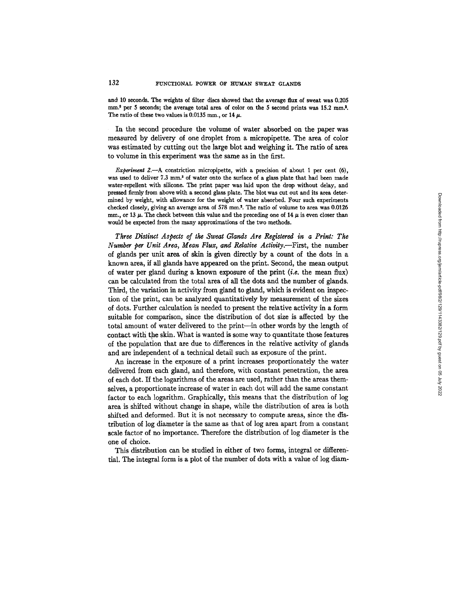**and** 10 seconds. The weights of filter discs showed that the average flux of sweat was 0.205 mm.<sup>3</sup> per 5 seconds; the average total area of color on the 5 second prints was 15.2 mm.<sup>3</sup>. The ratio of these two values is 0.0135 mm., or 14  $\mu$ .

In the second procedure the volume of water absorbed on the paper was measured by delivery of one droplet from a micropipette. The area of color was estimated by cutting out the large blot and weighing it. The ratio of area to volume in this experiment was the same as in the first.

*Experiment 2.*—A constriction micropipette, with a precision of about 1 per cent  $(6)$ , was used to deliver 7.3 mm.<sup>3</sup> of water onto the surface of a glass plate that had been made water-repellent with silicone. The print paper was laid upon the drop without delay, and pressed firmly from above with a second glass plate. The blot was cut out and its area determined by weight, with allowance for the weight of water absorbed. Four such experiments checked closely, giving an average area of 578 mm.<sup>2</sup>. The ratio of volume to area was 0.0126 mm., or 13  $\mu$ . The check between this value and the preceding one of 14  $\mu$  is even closer than would be expected from the many approximations of the two methods.

*Tkree Distinct Aspects of the Sweat Glands Are Registered in a Print: The Number per Unit Area, Mean Flux, and Relative Activity.--First,* the number of glands per unit area of skin is given directly by a count of the dots in a known area, if all glands have appeared on the print. Second, the mean output of water per gland during a known exposure of the print *(i.e. the* mean flux) can be calculated from the total area of all the dots and the number of glands. Third, the variation in activity from gland to gland, which is evident on inspection of the print, can be analyzed quantitatively by measurement of the sizes of dots. Further calculation is needed to present the relative activity in a form suitable for comparison, since the distribution of dot size is affected by the total amount of water delivered to the print--in other words by the length of contact with the skin. What is wanted is some way to quantitate those features of the population that are due to differences in the relative activity of glands and are independent of a technical detail such as exposure of the print.

An increase in the exposure of a print increases proportionately the water delivered from each gland, and therefore, with constant penetration, the area of each dot. If the logarithms of the areas are used, rather than the areas themselves, a proportionate increase of water in each dot will add the same constant factor to each logarithm. Graphically, this means that the distribution of log area is shifted without change in shape, while the distribution of area is both shifted and deformed. But it is not necessary to compute areas, since the distribution of log diameter is the same as that of log area apart from a constant scale factor of no importance. Therefore the distribution of log diameter is the one of choice.

This distribution can be studied in either of two forms, integral or differem tial. The integral form is a plot of the number of dots with a value of log diam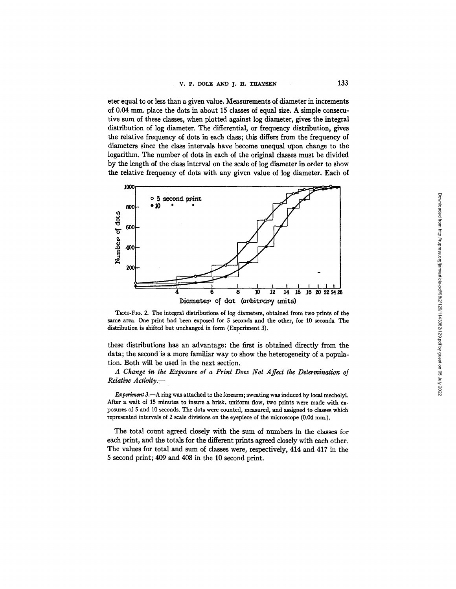eter equal to or less than a given value. Measurements of diameter in increments of 0.04 mm. place the dots in about 15 classes of equal size. A simple consecutive sum of these classes, when plotted against log diameter, gives the integral distribution of log diameter. The differential, or frequency distribution, gives the relative frequency of dots in each class; this differs from the frequency of diameters since the class intervals have become unequal upon change to the logarithm. The number of dots in each of the original classes must be divided by the length of the class interval on the scale of log diameter in order to show the relative frequency of dots with any given value of log diameter. Each of



TEXT-Fro. 2. The integral distributions of log diameters, obtained from two prints of the same area. One print had been exposed for 5 seconds and the other, for 10 seconds. The distribution is shifted but unchanged in form (Experiment 3).

these distributions has an advantage: the first is obtained directly from the data; the second is a more familiar way to show the heterogeneity of a population. Both will be used in the next section.

*A Change in the Exposure of a Print Does Not Affect the Determination of Relative Activity.--* 

*Experiment 3.--A* ring was attached to the forearm; sweating was induced by local mecholyl. After a wait of 15 minutes to insure a brisk, uniform flow, two prints were made with expesures of 5 and 10 seconds. The dots were counted, measured, and assigned to classes which represented intervals of 2 scale divisions on the eyepiece of the microscope (0.04 mm.).

The total count agreed closely with the sum of numbers in the classes for each print, and the totals for the different prints agreed closely with each other. The values for total and sum of classes were, respectively, 414 and 417 in the 5 second print; 409 and 408 in the 10 second print.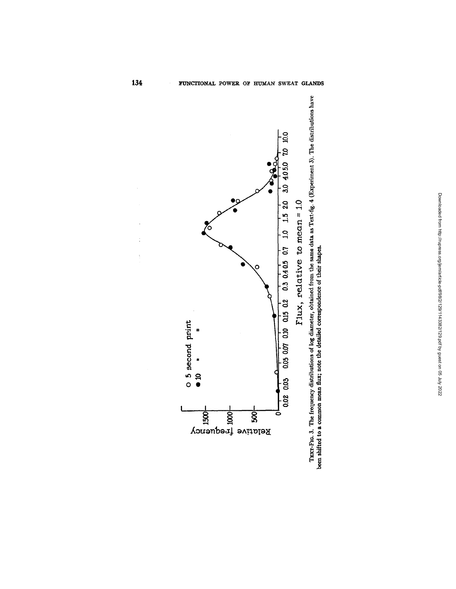



134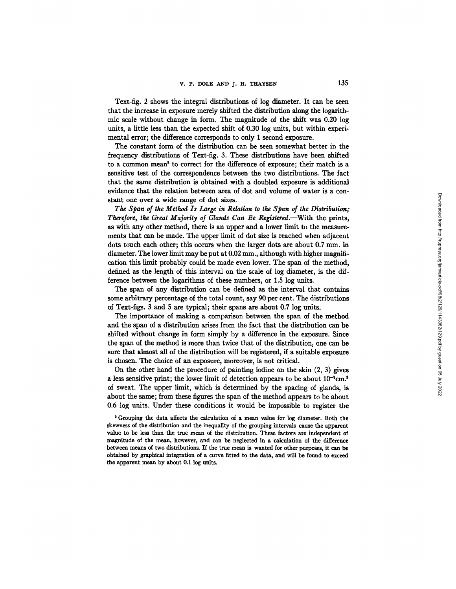Text-fig. 2 shows the integral distributions of log diameter. It can be seen that the increase in exposure merely shifted the distribution along the logarithmic scale without change in form. The magnitude of the shift was 0.20 log units, a little less than the expected shift of 0.30 log units, but within experimental error; the difference corresponds to only 1 second exposure.

The constant form of the distribution can be seen somewhat better in the frequency distributions of Text-fig. 3. These distributions have been shifted to a common mean<sup>2</sup> to correct for the difference of exposure; their match is a sensitive test of the correspondence between the two distributions. The fact that the same distribution is obtained with a doubled exposure is additional evidence that the relation between area of dot and volume of water is a constant one over a wide range of dot sizes.

*The Span of the Method Is Large in Relation to the Span of the Distribution; Tkerefore, the Great Majority of Glands Can Be Registered.--With the* prints, as with any other method, there is an upper and a lower limit to the measurements that can be made. The upper limit of dot size is reached when adjacent dots touch each other; this occurs when the larger dots are about 0.7 mm. in diameter. The lower limit may be put at 0.02 mm., although with higher magnification this limit probably could be made even lower. The span of the method, defined as the length of this interval on the scale of log diameter, is the difference between the logarithms of these numbers, or 1.5 log units.

The span of any distribution can be defined as the interval that contains some arbitrary percentage of the total count, say 90 per cent. The distributions of Text-figs. 3 and 5 are typical; their spans are about 0.7 log units.

The importance of making a comparison between the span of the method and the span of a distribution arises from the fact that the distribution can be shifted without change in form simply by a difference in the exposure. Since the span of the method is more than twice that of the distribution, one can be sure that almost all of the distribution will be registered, if a suitable exposure is chosen. The choice of an exposure, moreover, is not critical.

On the other hand the procedure of painting iodine on the skin (2, 3) gives a less sensitive print; the lower limit of detection appears to be about  $10^{-7}$ cm.<sup>3</sup> of sweat. The upper limit, which is determined by the spacing of glands, is about the same; from these figures the span of the method appears to be about 0.6 log units. Under these conditions it would be impossible to register the

2 Grouping the data affects the calculation of a mean value for log diameter. Both the skewness of the distribution and the inequality of the grouping intervals cause the apparent value to be less than the true mean of the distribution. These factors are independent of magnitude of the mean, however, and can be neglected in a calculation of the difference between means of two distributions. If the true mean is wanted for other purposes, it can be obtained by graphical integration of a curve fitted to the data, and will be found to exceed the apparent mean by about 0.1 log units.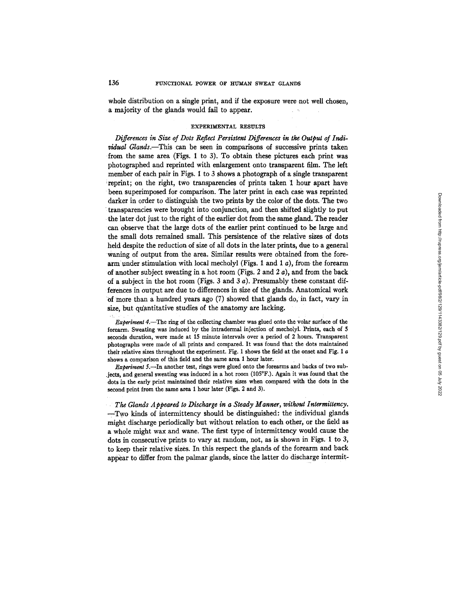whole distribution on a single print, and if the exposure were not well chosen, a majority of the glands would fail to appear.

## EXPERIMENTAL RESULTS

*Differences in Size of Dots Reflect Persiaeut Differences in the' Output of Indi ridual Glands.*--This can be seen in comparisons of successive prints taken from the same area (Figs. 1 to 3). To obtain these pictures each print was photographed and reprinted with enlargement onto transparent film. The left member of each pair in Figs. 1 to 3 shows a photograph of a single transparent reprint; on the right, two transparencies of prints taken 1 hour apart have been superimposed for comparison. The later print in each case was reprinted darker in order to distinguish the two prints by the color of the dots. The two transparencies were brought into conjunction, and then shifted slightly to put the later dot just to the right of the earlier dot from the same gland. The reader can observe that the large dots of the earlier print continued to be large and the small dots remained small. This persistence of the relative sizes of dots held despite the reduction of size of all dots in the later prints, due to a general waning of output from the area. Similar results were obtained from the forearm under stimulation with local mecholyl (Figs. 1 and 1  $\alpha$ ), from the forearm of another subject sweating in a hot room (Figs. 2 and 2  $a$ ), and from the back of a subject in the hot room (Figs. 3 and 3  $a$ ). Presumably these constant differences in output are due to differences in size of the glands. Anatomical work Of more than a hundred years ago (7) showed that glands do, in fact, vary in size, but quantitative studies of the anatomy are lacking.

*Experiment 4.*-The ring of the collecting chamber was glued onto the volar surface of the forearm. Sweating was induced by the intradermal injection of mecholyl. Prints, each of 5 seconds duration, were made at 15 minute intervals over a period of 2 hours. Transparent photographs were made of all prints and compared. It was found that the dots maintained their relative sizes throughout the experiment. Fig. 1 shows the field at the onset and Fig. 1 a shows a comparison of this field and the same area 1 hour later.

*Experiment 5.*—In another test, rings were glued onto the forearms and backs of two sub-.jects, and general sweating was induced in a hot room (105°F.). Again it was found that the dots in the early print maintained their relative sizes when compared with the dots in the second print from the same area 1 hour later (Figs. 2 and 3).

*The Glands Appeared to Discharge in a Steady Manner, without Intermittency.*  --Two kinds of intermittency should be distinguished: the individual glands might discharge periodically but without relation to each other, or the field as a whole might wax and wane. The first type of intermittency would cause the dots in consecutive prints to vary at random, not, as is shown in Figs. 1 to 3, to keep their relative sizes. In this respect the glands of the forearm and back appear to differ from the palmar glands, since the latter do discharge intermit-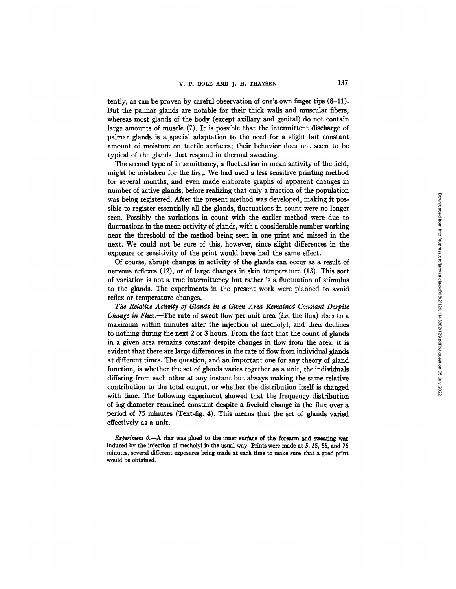tently, as can be proven by careful observation of one's own finger tips  $(8-11)$ . But the palmar glands are notable for their thick walls and muscular fibers, whereas most glands of the body (except axillary and genital) do not contain large amounts of muscle (7). It is possible that the intermittent discharge of palmar glands is a special adaptation to the need for a slight but constant amount of moisture on tactile surfaces; their behavior does not seem to be typical of the glands that respond in thermal sweating.

The second type of intermittency, a fluctuation in mean activity of the field, might be mistaken for the first. We had used a less sensitive printing method for several months, and even made elaborate graphs of apparent changes in number of active glands, before realizing that only a fraction of the population was being registered. Mter the present method was developed, making it possible to register essentially all the glands, fluctuations in count were no longer seen. Possibly the variations in count with the earlier method were due to fluctuations in the mean activity of glands, with a considerable number working near the threshold of the method being seen in one print and missed in the next. We could not be sure of this, however, since slight differences in the exposure or sensitivity of the print would have had the same effect.

Of course, abrupt changes in activity of the glands can occur as a result of nervous reflexes (12), or of large changes in skin temperature (13). This sort of variation is not a true intermittency but rather is a fluctuation of stimulus to the glands. The experiments in the present work were planned to avoid reflex or temperature changes.

The Relative Activity of Glands in a Given Area Remained Constant Despite *Change in Flux.--The* rate of sweat flow per unit area *(i.e.* the flux) rises to a maximum within minutes after the injection of mecholyl, and then declines to nothing during the next 2 or 3 hours. From the fact that the count of glands in a given area remains constant despite changes in flow from the area, it is evident that there are large differences in the rate of flow from individual glands at different times. The question, and an important one for any theory of gland function, is whether the set of glands varies together as a unit, the individuals differing from each other at any instant but always making the same relative contribution to the total output, or whether the distribution itself is changed with time. The following experiment showed that the frequency distribution of log diameter remained constant despite a fivefold change in the flux over a period of 75 minutes (Text-fig. 4). This means that the set of glands varied effectively as a unit.

*Experiment 6.*--A ring was glued to the inner surface of the forearm and sweating was induced by the injection of mecholyl in the usual way. Prints were made at 5, 35, 55, and 75 minutes, several different exposures being made at each time to make sure that a good print would be obtained.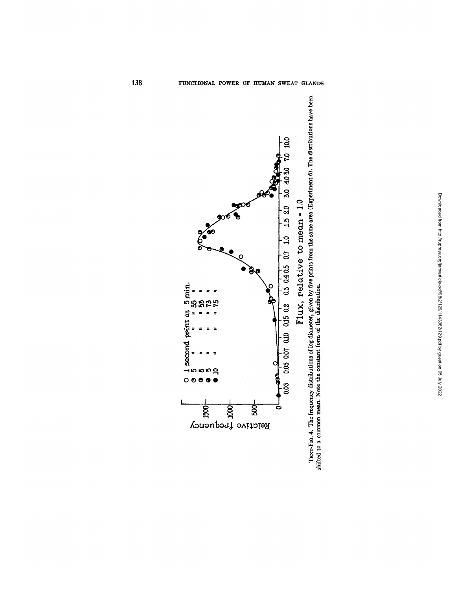

**8**  m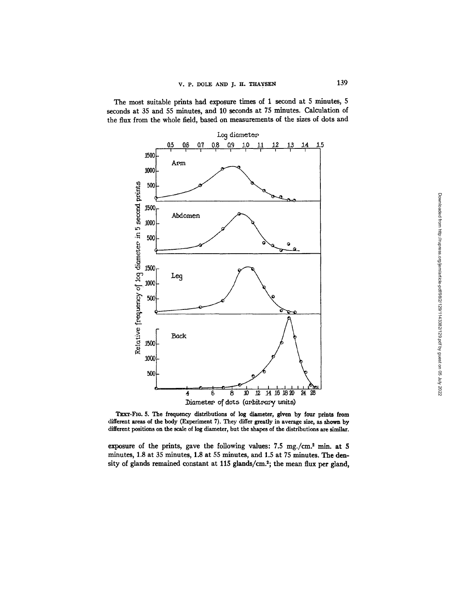The most suitable prints had exposure times of 1 second at 5 minutes, 5 seconds at 35 and 55 minutes, and 10 seconds at 75 minutes. Calculation of the flux from the whole field, based on measurements of the sizes of dots and



TEXT-FIG. 5. The frequency distributions of log diameter, given by four prints from different areas of the body (Experiment 7). They differ greatly in average size, as shown by different positions on the scale of log diameter, but the shapes of the distributions are similar.

exposure of the prints, gave the following values: 7.5 mg./cm.<sup>2</sup> min. at 5 minutes, 1.8 at 35 minutes, 1.8 at 55 minutes, and 1.5 at 75 minutes. The density of glands remained constant at 115 glands/cm.<sup>2</sup>; the mean flux per gland,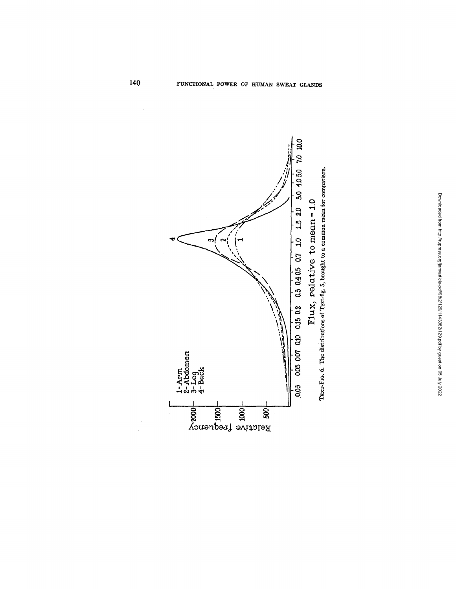



140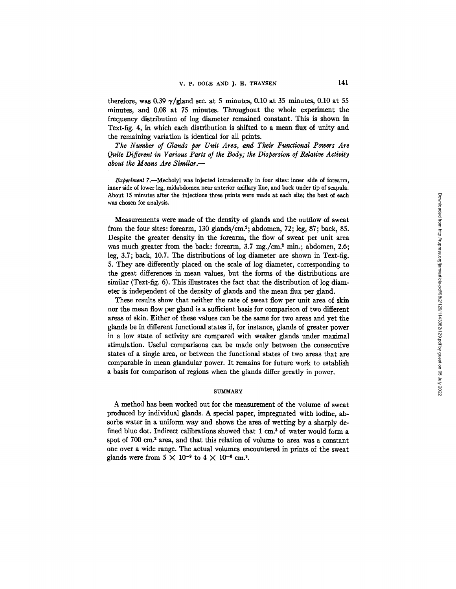therefore, was 0.39  $\gamma$ /gland sec. at 5 minutes, 0.10 at 35 minutes, 0.10 at 55 minutes, and 0.08 at 75 minutes. Throughout the whole experiment the frequency distribution of log diameter remained constant. This is shown in Text-fig. 4, in which each distribution is shifted to a mean flux of unity and the remaining variation is identical for all prints.

*The Number of Glands per Unit Area, and Their Functional Powers Are Quite Different in Various Parts of the Body; the Dispersion of Relative Activity about the Means Are Similar.--* 

Experiment 7.-Mecholyl was injected intradermally in four sites: inner side of forearm, inner side of lower leg, midabdomen near anterior axillary line, and back under tip of scapula. About 15 minutes after the injections three prints were made at each site; the best of each was chosen for analysis.

Measurements were made of the density of glands and the outflow of sweat from the four sites: forearm,  $130$  glands/cm.<sup>2</sup>; abdomen,  $72$ ; leg,  $87$ ; back,  $85$ . Despite the greater density in the forearm, the flow of sweat per unit area was much greater from the back: forearm,  $3.7 \text{ mg./cm}^2 \text{ min.};$  abdomen,  $2.6$ ; leg, 3.7; back, 10.7. The distributions of log diameter are shown in Text-fig. 5. They are differently placed on the scale of log diameter, corresponding to the great differences in mean values, but the forms of the distributions are similar (Text-fig. 6). This illustrates the fact that the distribution of log diameter is independent of the density of glands and the mean flux per gland.

These results show that neither the rate of sweat flow per unit area of skin nor the mean flow per gland is a sufficient basis for comparison of two different areas of skin. Either of these values can be the same for two areas and yet the glands be in different functional states if, for instance, glands of greater power in a low state of activity are compared with weaker glands under maximal stimulation. Useful comparisons can be made only between the consecutive states of a single area, or between the functional states of two areas that are comparable in mean glandular power. It remains for future work to establish a basis for comparison of regions when the glands differ greatly in power.

#### **SUMMARY**

A method has been worked out for the measurement of the volume of sweat produced by individual glands. A special paper, impregnated with iodine, absorbs water in a uniform way and shows the area of wetting by a sharply defined blue dot. Indirect calibrations showed that 1 cm.<sup>3</sup> of water would form a spot of 700 cm.<sup>2</sup> area, and that this relation of volume to area was a constant one over a wide range. The actual volumes encountered in prints of the sweat glands were from  $5 \times 10^{-9}$  to  $4 \times 10^{-6}$  cm.<sup>3</sup>.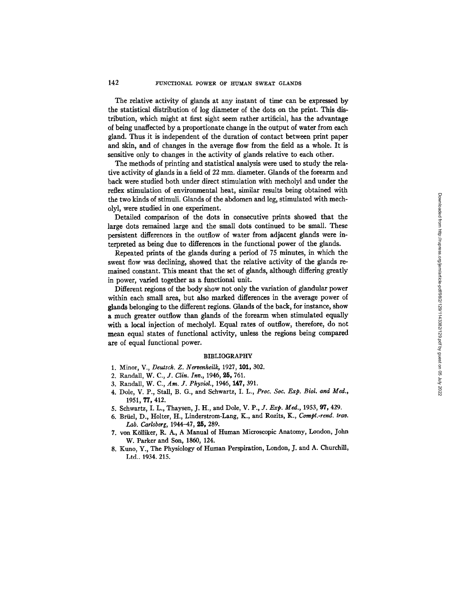## 142 FUNCTIONAL POWER OF HUMAN SWEAT GLANDS

The relative activity of glands at any instant of time can be expressed by the statistical distribution of log diameter of the dots on the print. This distribution, which might at first sight seem rather artificial, has the advantage of being unaffected by a proportionate change in the output of water from each gland. Thus it is independent of the duration of contact between print paper and skin, and of changes in the average flow from the field as a whole. It is sensitive only to changes in the activity of glands relative to each other.

The methods of printing and statistical analysis were used to study the relative activity of glands in a field of 22 mm. diameter. Glands of the forearm and back were studied both under direct stimulation with mecholyl and under the reflex stimulation of environmental heat, similar results being obtained with the two kinds of stimuli. Glands of the abdomen and leg, stimulated with mecholyl, were studied in one experiment.

Detailed comparison of the dots in consecutive prints showed that the large dots remained large and the small dots continued to be small. These persistent differences in the outflow of water from adjacent glands were interpreted as being due to differences in the functional power of the glands.

Repeated prints of the glands during a period of 75 minutes, in which the sweat flow was declining, showed that the relative activity of the glands remained constant. This meant that the set of glands, although differing greatly in power, varied together as a functional unit.

Different regions of the body show not only the variation of glandular power within each small area, but also marked differences in the average power of glands belonging to the different regions. Glands of the back, for instance, show a much greater outflow than glands of the forearm when stimulated equally with a local injection of mecholyl. Equal rates of outflow, therefore, do not mean equal states of functional activity, unless the regions being compared are of equal functional power.

## BIBLIOGRAPHY

- 1. Minor, V., *Deutsch. Z. Nervenheilk*, 1927, 101, 302.
- 2. Randall, W. C., J. *Clin. Inv.,* 1946, 25, 761.
- 3. Randall, W. C., *Am. J. Physiol.,* 1945, 147, 391.
- 4. Dole, V. P., Stall, B. G., and Schwartz, I. L., *Proc. Soc. Exp. Biol. and Med.,*  1951, 77, 412.
- 5. Schwartz, I. L., Thaysen, J. H., and Dole, V. P., J. Exp. Med., 1953, 97, 429.
- 6. Briiel, D., Holter, H., Linderstrom-Lang, K., and Rozits, K., *Compt.-rend. tra~.*  Lab. Carlsberg, 1944-47, 25, 289.
- 7. von Kölliker, R. A., A Manual of Human Microscopic Anatomy, London, John W. Parker and Son, 1860, 124.
- 8. Kuno, Y., The Physiology of Human Perspiration, London, ]. and A. Churchill, Ltd.. 1934. 215.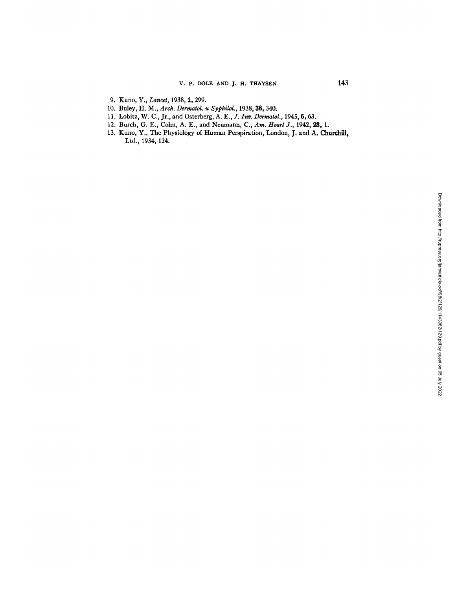- 9. Kuno, Y., *Lancet,* 1938, 1,299.
- 10. Buley, H. M., *Arch. Dermatol. u Syphilol.,* 1938, 38, 340.
- 11. Lobitz, W. C., Jr., and Osterberg, A. E., *J. Inv. Dermatol.*, 1945, 6, 63.
- 12. Burch, G. E., Cohn, A. E., and Neumann, C., *Am. Heart Y.,* 1942, 23, 1.
- 13. Kuno, Y., The Physiology of Human Perspiration, London, J. and A. Churchill, Ltd., 1934, 124.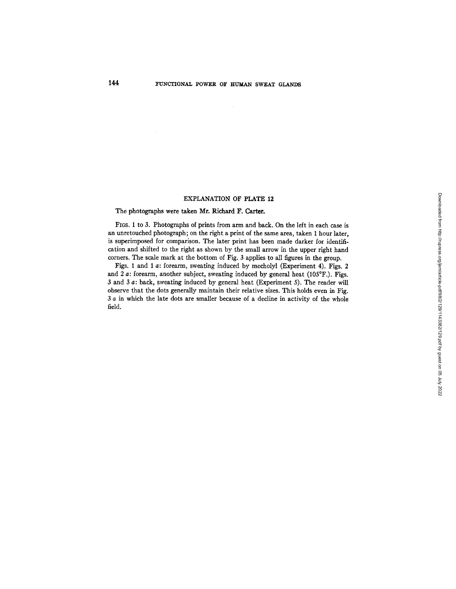## EXPLANATION OF PLATE 12

### The photographs were taken Mr. Richard F. Carter.

FIGS. 1 to 3. Photographs of prints from arm and back. On the left in each case is an unretouched photograph; on the right a print of the same area, taken 1 hour later, is superimposed for comparison. The later print has been made darker for identification and shifted to the right as shown by the small arrow in the upper right hand corners. The scale mark at the bottom of Fig. 3 applies to all figures in the group.

Figs. 1 and 1 a: forearm, sweating induced by mecholyl (Experiment 4). Figs. 2 and  $2a$ : forearm, another subject, sweating induced by general heat (105°F.). Figs. 3 and 3 a: back, sweating induced by general heat (Experiment 5). The reader will observe that the dots generally maintain their relative sizes. This holds even in Fig. 3 a in which the late dots are smaller because of a decline in activity of the whole field.